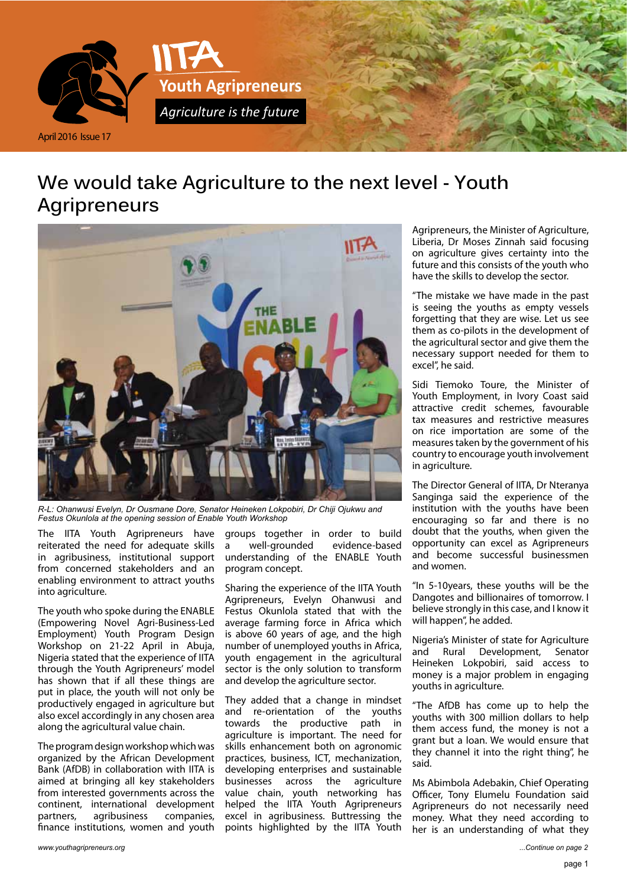

# **We would take Agriculture to the next level - Youth Agripreneurs**



*R-L: Ohanwusi Evelyn, Dr Ousmane Dore, Senator Heineken Lokpobiri, Dr Chiji Ojukwu and Festus Okunlola at the opening session of Enable Youth Workshop*

The IITA Youth Agripreneurs have reiterated the need for adequate skills in agribusiness, institutional support from concerned stakeholders and an enabling environment to attract youths into agriculture.

The youth who spoke during the ENABLE (Empowering Novel Agri-Business-Led Employment) Youth Program Design Workshop on 21-22 April in Abuja, Nigeria stated that the experience of IITA through the Youth Agripreneurs' model has shown that if all these things are put in place, the youth will not only be productively engaged in agriculture but also excel accordingly in any chosen area along the agricultural value chain.

The program design workshop which was organized by the African Development Bank (AfDB) in collaboration with IITA is aimed at bringing all key stakeholders from interested governments across the continent, international development partners, agribusiness companies, finance institutions, women and youth

groups together in order to build a well-grounded evidence-based understanding of the ENABLE Youth program concept.

Sharing the experience of the IITA Youth Agripreneurs, Evelyn Ohanwusi and Festus Okunlola stated that with the average farming force in Africa which is above 60 years of age, and the high number of unemployed youths in Africa, youth engagement in the agricultural sector is the only solution to transform and develop the agriculture sector.

They added that a change in mindset and re-orientation of the youths towards the productive path in agriculture is important. The need for skills enhancement both on agronomic practices, business, ICT, mechanization, developing enterprises and sustainable businesses across the agriculture value chain, youth networking has helped the IITA Youth Agripreneurs excel in agribusiness. Buttressing the points highlighted by the IITA Youth

Agripreneurs, the Minister of Agriculture, Liberia, Dr Moses Zinnah said focusing on agriculture gives certainty into the future and this consists of the youth who have the skills to develop the sector.

"The mistake we have made in the past is seeing the youths as empty vessels forgetting that they are wise. Let us see them as co-pilots in the development of the agricultural sector and give them the necessary support needed for them to excel", he said.

Sidi Tiemoko Toure, the Minister of Youth Employment, in Ivory Coast said attractive credit schemes, favourable tax measures and restrictive measures on rice importation are some of the measures taken by the government of his country to encourage youth involvement in agriculture.

The Director General of IITA, Dr Nteranya Sanginga said the experience of the institution with the youths have been encouraging so far and there is no doubt that the youths, when given the opportunity can excel as Agripreneurs and become successful businessmen and women.

"In 5-10years, these youths will be the Dangotes and billionaires of tomorrow. I believe strongly in this case, and I know it will happen", he added.

Nigeria's Minister of state for Agriculture and Rural Development, Senator Heineken Lokpobiri, said access to money is a major problem in engaging youths in agriculture.

"The AfDB has come up to help the youths with 300 million dollars to help them access fund, the money is not a grant but a loan. We would ensure that they channel it into the right thing", he said.

Ms Abimbola Adebakin, Chief Operating Officer, Tony Elumelu Foundation said Agripreneurs do not necessarily need money. What they need according to her is an understanding of what they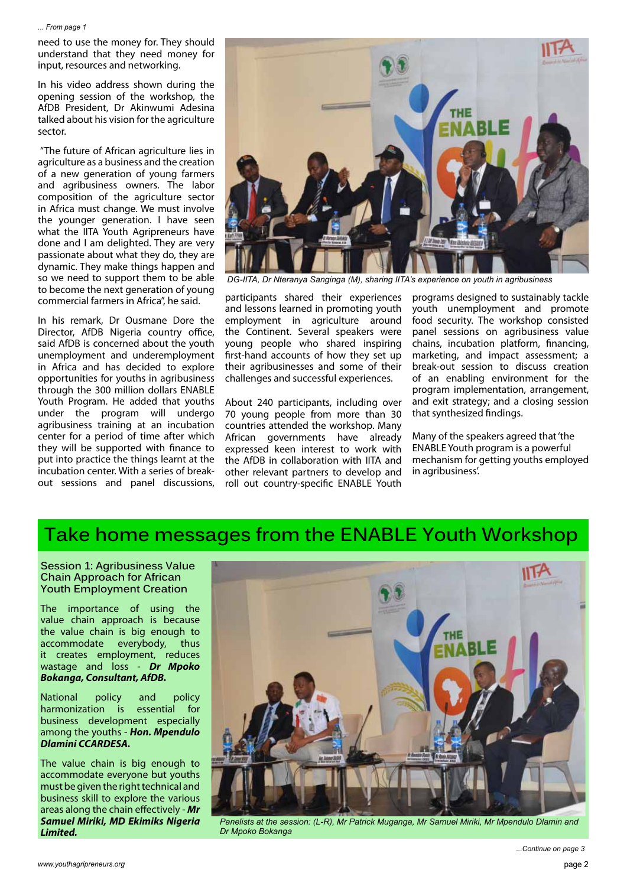#### *... From page 1*

need to use the money for. They should understand that they need money for input, resources and networking.

In his video address shown during the opening session of the workshop, the AfDB President, Dr Akinwumi Adesina talked about his vision for the agriculture sector.

 "The future of African agriculture lies in agriculture as a business and the creation of a new generation of young farmers and agribusiness owners. The labor composition of the agriculture sector in Africa must change. We must involve the younger generation. I have seen what the IITA Youth Agripreneurs have done and I am delighted. They are very passionate about what they do, they are dynamic. They make things happen and so we need to support them to be able to become the next generation of young commercial farmers in Africa", he said.

In his remark, Dr Ousmane Dore the Director, AfDB Nigeria country office, said AfDB is concerned about the youth unemployment and underemployment in Africa and has decided to explore opportunities for youths in agribusiness through the 300 million dollars ENABLE Youth Program. He added that youths under the program will undergo agribusiness training at an incubation center for a period of time after which they will be supported with finance to put into practice the things learnt at the incubation center. With a series of breakout sessions and panel discussions,



*DG-IITA, Dr Nteranya Sanginga (M), sharing IITA's experience on youth in agribusiness*

participants shared their experiences and lessons learned in promoting youth employment in agriculture around the Continent. Several speakers were young people who shared inspiring first-hand accounts of how they set up their agribusinesses and some of their challenges and successful experiences.

About 240 participants, including over 70 young people from more than 30 countries attended the workshop. Many African governments have already expressed keen interest to work with the AfDB in collaboration with IITA and other relevant partners to develop and roll out country-specific ENABLE Youth programs designed to sustainably tackle youth unemployment and promote food security. The workshop consisted panel sessions on agribusiness value chains, incubation platform, financing, marketing, and impact assessment; a break-out session to discuss creation of an enabling environment for the program implementation, arrangement, and exit strategy; and a closing session that synthesized findings.

Many of the speakers agreed that 'the ENABLE Youth program is a powerful mechanism for getting youths employed in agribusiness'.

### **Take home messages from the ENABLE Youth Workshop**

#### **Session 1: Agribusiness Value Chain Approach for African Youth Employment Creation**

The importance of using the value chain approach is because the value chain is big enough to<br>accommodate everybody, thus accommodate everybody, thus it creates employment, reduces wastage and loss - *Dr Mpoko Bokanga, Consultant, AfDB.*

National policy and policy harmonization is essential for business development especially among the youths - *Hon. Mpendulo Dlamini CCARDESA.*

The value chain is big enough to accommodate everyone but youths must be given the right technical and business skill to explore the various areas along the chain effectively - *Mr Samuel Miriki, MD Ekimiks Nigeria Limited.*



*Panelists at the session: (L-R), Mr Patrick Muganga, Mr Samuel Miriki, Mr Mpendulo Dlamin and Dr Mpoko Bokanga*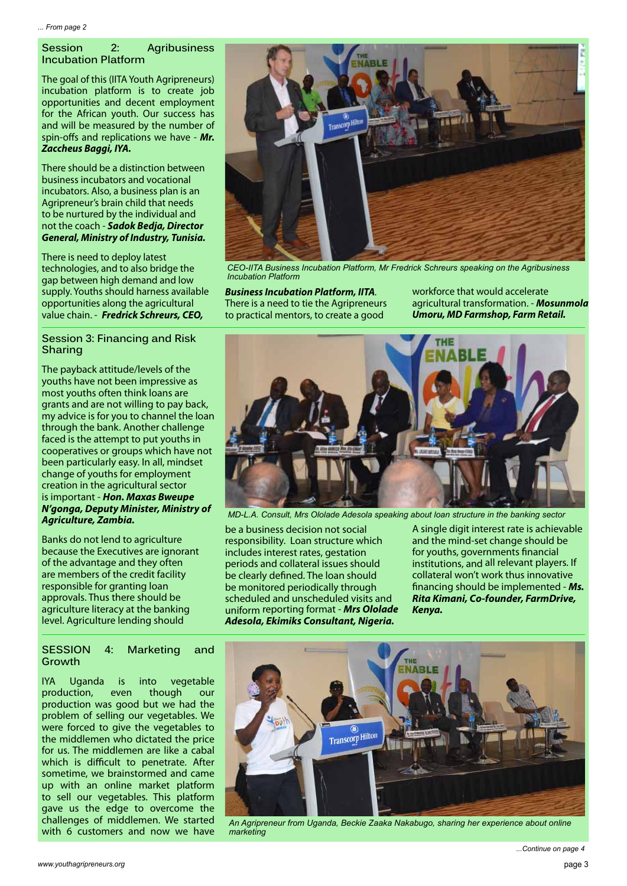### **Session 2: Agribusiness Incubation Platform**

The goal of this (IITA Youth Agripreneurs) incubation platform is to create job opportunities and decent employment for the African youth. Our success has and will be measured by the number of spin-offs and replications we have - *Mr. Zaccheus Baggi, IYA.*

There should be a distinction between business incubators and vocational incubators. Also, a business plan is an Agripreneur's brain child that needs to be nurtured by the individual and not the coach - *Sadok Bedja, Director General, Ministry of Industry, Tunisia.* 

There is need to deploy latest technologies, and to also bridge the gap between high demand and low supply. Youths should harness available opportunities along the agricultural value chain. - *Fredrick Schreurs, CEO,* 

#### **Session 3: Financing and Risk Sharing**

The payback attitude/levels of the youths have not been impressive as most youths often think loans are grants and are not willing to pay back, my advice is for you to channel the loan through the bank. Another challenge faced is the attempt to put youths in cooperatives or groups which have not been particularly easy. In all, mindset change of youths for employment creation in the agricultural sector is important - *Hon. Maxas Bweupe N'gonga, Deputy Minister, Ministry of Agriculture, Zambia.*

Banks do not lend to agriculture because the Executives are ignorant of the advantage and they often are members of the credit facility responsible for granting loan approvals. Thus there should be agriculture literacy at the banking level. Agriculture lending should

### **SESSION 4: Marketing and Growth**

IYA Uganda is into vegetable production, even though our production was good but we had the problem of selling our vegetables. We were forced to give the vegetables to the middlemen who dictated the price for us. The middlemen are like a cabal which is difficult to penetrate. After sometime, we brainstormed and came up with an online market platform to sell our vegetables. This platform gave us the edge to overcome the challenges of middlemen. We started with 6 customers and now we have



*CEO-IITA Business Incubation Platform, Mr Fredrick Schreurs speaking on the Agribusiness Incubation Platform*

*Business Incubation Platform, IITA.*  There is a need to tie the Agripreneurs to practical mentors, to create a good

workforce that would accelerate agricultural transformation. - *Mosunmola Umoru, MD Farmshop, Farm Retail.*



*MD-L.A. Consult, Mrs Ololade Adesola speaking about loan structure in the banking sector*

be a business decision not social responsibility. Loan structure which includes interest rates, gestation periods and collateral issues should be clearly defined. The loan should be monitored periodically through scheduled and unscheduled visits and uniform reporting format - *Mrs Ololade Adesola, Ekimiks Consultant, Nigeria.*

A single digit interest rate is achievable and the mind-set change should be for youths, governments financial institutions, and all relevant players. If collateral won't work thus innovative financing should be implemented - *Ms. Rita Kimani, Co-founder, FarmDrive, Kenya.*



*An Agripreneur from Uganda, Beckie Zaaka Nakabugo, sharing her experience about online marketing*